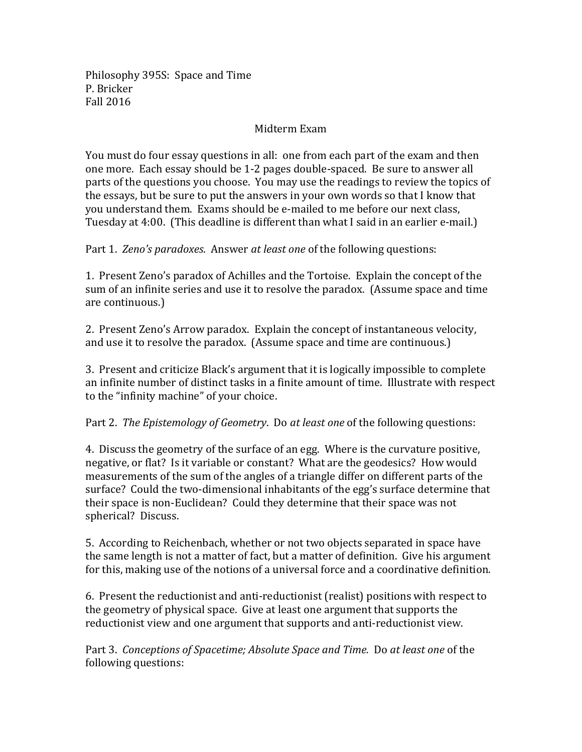Philosophy 395S: Space and Time P. Bricker Fall 2016

## Midterm Exam

You must do four essay questions in all: one from each part of the exam and then one more. Each essay should be 1-2 pages double-spaced. Be sure to answer all parts of the questions you choose. You may use the readings to review the topics of the essays, but be sure to put the answers in your own words so that I know that you understand them. Exams should be e-mailed to me before our next class, Tuesday at 4:00. (This deadline is different than what I said in an earlier e-mail.)

Part 1. Zeno's paradoxes. Answer at least one of the following questions:

1. Present Zeno's paradox of Achilles and the Tortoise. Explain the concept of the sum of an infinite series and use it to resolve the paradox. (Assume space and time are continuous.)

2. Present Zeno's Arrow paradox. Explain the concept of instantaneous velocity, and use it to resolve the paradox. (Assume space and time are continuous.)

3. Present and criticize Black's argument that it is logically impossible to complete an infinite number of distinct tasks in a finite amount of time. Illustrate with respect to the "infinity machine" of your choice.

Part 2. *The Epistemology of Geometry*. Do *at least one* of the following questions:

4. Discuss the geometry of the surface of an egg. Where is the curvature positive, negative, or flat? Is it variable or constant? What are the geodesics? How would measurements of the sum of the angles of a triangle differ on different parts of the surface? Could the two-dimensional inhabitants of the egg's surface determine that their space is non-Euclidean? Could they determine that their space was not spherical? Discuss.

5. According to Reichenbach, whether or not two objects separated in space have the same length is not a matter of fact, but a matter of definition. Give his argument for this, making use of the notions of a universal force and a coordinative definition.

6. Present the reductionist and anti-reductionist (realist) positions with respect to the geometry of physical space. Give at least one argument that supports the reductionist view and one argument that supports and anti-reductionist view.

Part 3. Conceptions of Spacetime; Absolute Space and Time. Do at least one of the following questions: